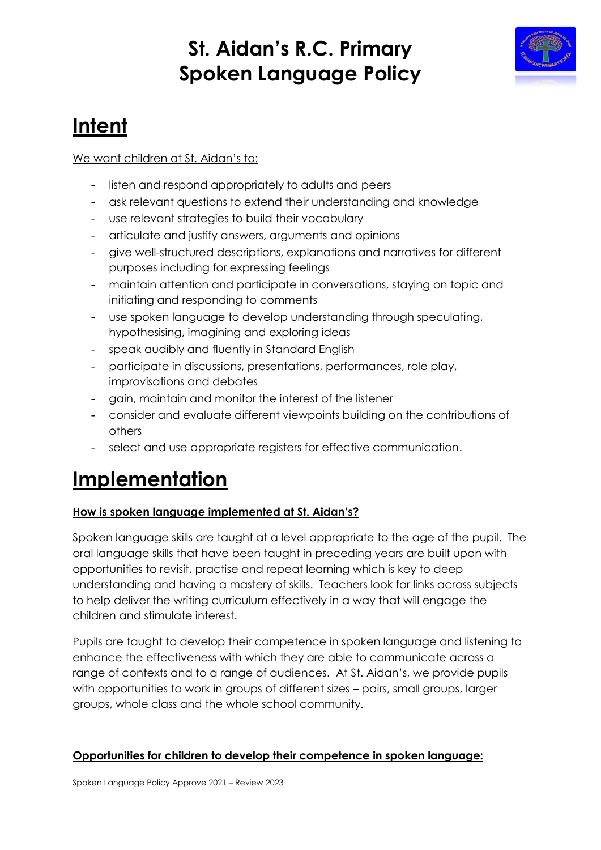## **St. Aidan's R.C. Primary Spoken Language Policy**



# **Intent**

### We want children at St. Aidan's to:

- listen and respond appropriately to adults and peers
- ask relevant questions to extend their understanding and knowledge
- use relevant strategies to build their vocabulary
- articulate and justify answers, arguments and opinions
- give well-structured descriptions, explanations and narratives for different purposes including for expressing feelings
- maintain attention and participate in conversations, staying on topic and initiating and responding to comments
- use spoken language to develop understanding through speculating, hypothesising, imagining and exploring ideas
- speak audibly and fluently in Standard English
- participate in discussions, presentations, performances, role play, improvisations and debates
- gain, maintain and monitor the interest of the listener
- consider and evaluate different viewpoints building on the contributions of others
- select and use appropriate registers for effective communication.

## **Implementation**

### **How is spoken language implemented at St. Aidan's?**

Spoken language skills are taught at a level appropriate to the age of the pupil. The oral language skills that have been taught in preceding years are built upon with opportunities to revisit, practise and repeat learning which is key to deep understanding and having a mastery of skills. Teachers look for links across subjects to help deliver the writing curriculum effectively in a way that will engage the children and stimulate interest.

Pupils are taught to develop their competence in spoken language and listening to enhance the effectiveness with which they are able to communicate across a range of contexts and to a range of audiences. At St. Aidan's, we provide pupils with opportunities to work in groups of different sizes – pairs, small groups, larger groups, whole class and the whole school community.

### **Opportunities for children to develop their competence in spoken language:**